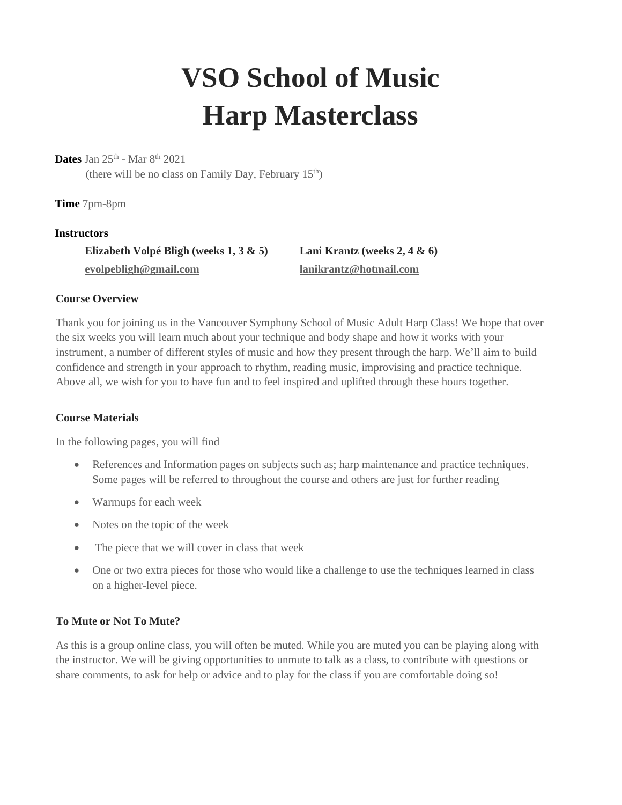# **VSO School of Music Harp Masterclass**

## **Dates** Jan 25<sup>th</sup> - Mar 8<sup>th</sup> 2021

(there will be no class on Family Day, February  $15<sup>th</sup>$ )

**Time** 7pm-8pm

#### **Instructors**

**Elizabeth Volpé Bligh (weeks 1, 3 & 5) [evolpebligh@gmail.com](mailto:evolpebligh@gmail.com)**

**Lani Krantz (weeks 2, 4 & 6) [lanikrantz@hotmail.com](mailto:lanikrantz@hotmail.com)**

## **Course Overview**

Thank you for joining us in the Vancouver Symphony School of Music Adult Harp Class! We hope that over the six weeks you will learn much about your technique and body shape and how it works with your instrument, a number of different styles of music and how they present through the harp. We'll aim to build confidence and strength in your approach to rhythm, reading music, improvising and practice technique. Above all, we wish for you to have fun and to feel inspired and uplifted through these hours together.

#### **Course Materials**

In the following pages, you will find

- References and Information pages on subjects such as; harp maintenance and practice techniques. Some pages will be referred to throughout the course and others are just for further reading
- Warmups for each week
- Notes on the topic of the week
- The piece that we will cover in class that week
- One or two extra pieces for those who would like a challenge to use the techniques learned in class on a higher-level piece.

# **To Mute or Not To Mute?**

As this is a group online class, you will often be muted. While you are muted you can be playing along with the instructor. We will be giving opportunities to unmute to talk as a class, to contribute with questions or share comments, to ask for help or advice and to play for the class if you are comfortable doing so!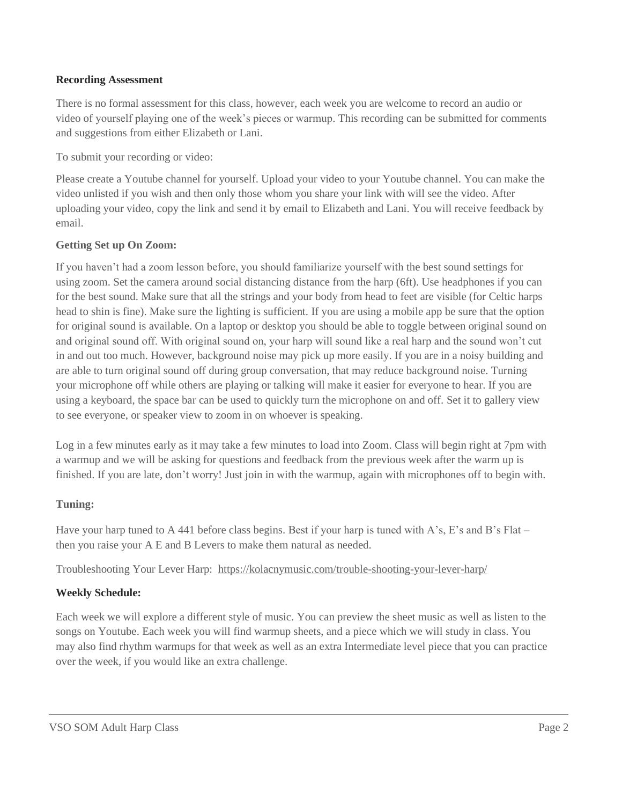## **Recording Assessment**

There is no formal assessment for this class, however, each week you are welcome to record an audio or video of yourself playing one of the week's pieces or warmup. This recording can be submitted for comments and suggestions from either Elizabeth or Lani.

To submit your recording or video:

Please create a Youtube channel for yourself. Upload your video to your Youtube channel. You can make the video unlisted if you wish and then only those whom you share your link with will see the video. After uploading your video, copy the link and send it by email to Elizabeth and Lani. You will receive feedback by email.

## **Getting Set up On Zoom:**

If you haven't had a zoom lesson before, you should familiarize yourself with the best sound settings for using zoom. Set the camera around social distancing distance from the harp (6ft). Use headphones if you can for the best sound. Make sure that all the strings and your body from head to feet are visible (for Celtic harps head to shin is fine). Make sure the lighting is sufficient. If you are using a mobile app be sure that the option for original sound is available. On a laptop or desktop you should be able to toggle between original sound on and original sound off. With original sound on, your harp will sound like a real harp and the sound won't cut in and out too much. However, background noise may pick up more easily. If you are in a noisy building and are able to turn original sound off during group conversation, that may reduce background noise. Turning your microphone off while others are playing or talking will make it easier for everyone to hear. If you are using a keyboard, the space bar can be used to quickly turn the microphone on and off. Set it to gallery view to see everyone, or speaker view to zoom in on whoever is speaking.

Log in a few minutes early as it may take a few minutes to load into Zoom. Class will begin right at 7pm with a warmup and we will be asking for questions and feedback from the previous week after the warm up is finished. If you are late, don't worry! Just join in with the warmup, again with microphones off to begin with.

# **Tuning:**

Have your harp tuned to A 441 before class begins. Best if your harp is tuned with A's, E's and B's Flat – then you raise your A E and B Levers to make them natural as needed.

Troubleshooting Your Lever Harp: <https://kolacnymusic.com/trouble-shooting-your-lever-harp/>

# **Weekly Schedule:**

Each week we will explore a different style of music. You can preview the sheet music as well as listen to the songs on Youtube. Each week you will find warmup sheets, and a piece which we will study in class. You may also find rhythm warmups for that week as well as an extra Intermediate level piece that you can practice over the week, if you would like an extra challenge.